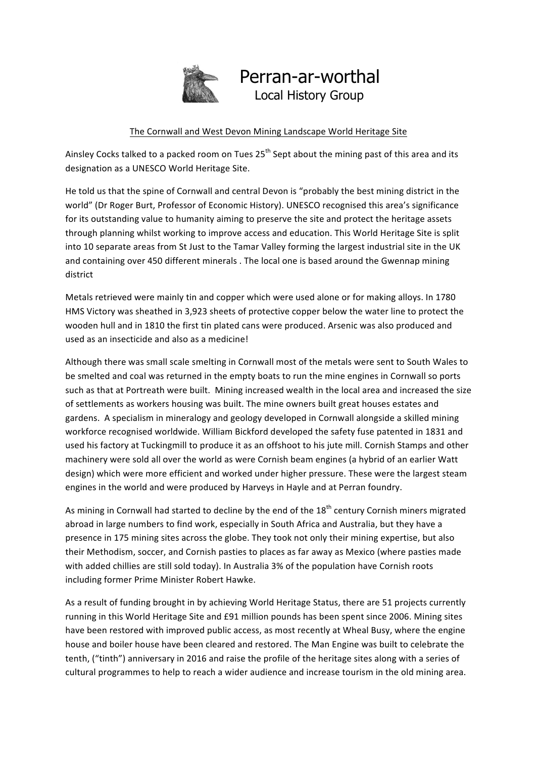

## Perran-ar-worthal<br>Local History Group

## The Cornwall and West Devon Mining Landscape World Heritage Site

Ainsley Cocks talked to a packed room on Tues  $25<sup>th</sup>$  Sept about the mining past of this area and its designation as a UNESCO World Heritage Site.

He told us that the spine of Cornwall and central Devon is "probably the best mining district in the world" (Dr Roger Burt, Professor of Economic History). UNESCO recognised this area's significance for its outstanding value to humanity aiming to preserve the site and protect the heritage assets through planning whilst working to improve access and education. This World Heritage Site is split into 10 separate areas from St Just to the Tamar Valley forming the largest industrial site in the UK and containing over 450 different minerals . The local one is based around the Gwennap mining district 

Metals retrieved were mainly tin and copper which were used alone or for making alloys. In 1780 HMS Victory was sheathed in 3,923 sheets of protective copper below the water line to protect the wooden hull and in 1810 the first tin plated cans were produced. Arsenic was also produced and used as an insecticide and also as a medicine!

Although there was small scale smelting in Cornwall most of the metals were sent to South Wales to be smelted and coal was returned in the empty boats to run the mine engines in Cornwall so ports such as that at Portreath were built. Mining increased wealth in the local area and increased the size of settlements as workers housing was built. The mine owners built great houses estates and gardens. A specialism in mineralogy and geology developed in Cornwall alongside a skilled mining workforce recognised worldwide. William Bickford developed the safety fuse patented in 1831 and used his factory at Tuckingmill to produce it as an offshoot to his jute mill. Cornish Stamps and other machinery were sold all over the world as were Cornish beam engines (a hybrid of an earlier Watt design) which were more efficient and worked under higher pressure. These were the largest steam engines in the world and were produced by Harveys in Hayle and at Perran foundry.

As mining in Cornwall had started to decline by the end of the 18<sup>th</sup> century Cornish miners migrated abroad in large numbers to find work, especially in South Africa and Australia, but they have a presence in 175 mining sites across the globe. They took not only their mining expertise, but also their Methodism, soccer, and Cornish pasties to places as far away as Mexico (where pasties made with added chillies are still sold today). In Australia 3% of the population have Cornish roots including former Prime Minister Robert Hawke.

As a result of funding brought in by achieving World Heritage Status, there are 51 projects currently running in this World Heritage Site and £91 million pounds has been spent since 2006. Mining sites have been restored with improved public access, as most recently at Wheal Busy, where the engine house and boiler house have been cleared and restored. The Man Engine was built to celebrate the tenth, ("tinth") anniversary in 2016 and raise the profile of the heritage sites along with a series of cultural programmes to help to reach a wider audience and increase tourism in the old mining area.